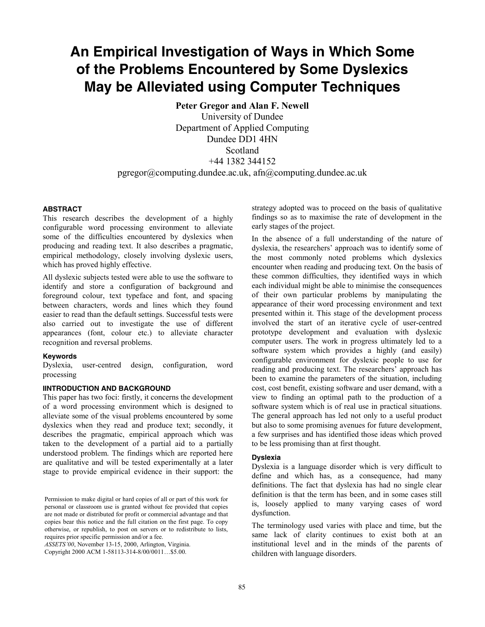# **An Empirical Investigation of Ways in Which Some of the Problems Encountered by Some Dyslexics May be Alleviated using Computer Techniques**

**Peter Gregor and Alan F. Newell**  University of Dundee

Department of Applied Computing Dundee DD1 4HN **Scotland** +44 1382 344152 pgregor@computing.dundee.ac.uk, afn@computing.dundee.ac.uk

#### **ABSTRACT**

This research describes the development of a highly configurable word processing environment to alleviate some of the difficulties encountered by dyslexics when producing and reading text. It also describes a pragmatic, empirical methodology, closely involving dyslexic users, which has proved highly effective.

All dyslexic subjects tested were able to use the software to identify and store a configuration of background and foreground colour, text typeface and font, and spacing between characters, words and lines which they found easier to read than the default settings. Successful tests were also carried out to investigate the use of different appearances (font, colour etc.) to alleviate character recognition and reversal problems.

#### **Keywords**

Dyslexia, user-centred design, configuration, word processing

#### **IINTRODUCTION AND BACKGROUND**

This paper has two foci: firstly, it concerns the development of a word processing environment which is designed to alleviate some of the visual problems encountered by some dyslexics when they read and produce text; secondly, it describes the pragmatic, empirical approach which was taken to the development of a partial aid to a partially understood problem. The findings which are reported here are qualitative and will be tested experimentally at a later stage to provide empirical evidence in their support: the

*ASSETS'00*, November 13-15, 2000, Arlington, Virginia.

Copyright 2000 ACM 1-58113-314-8/00/0011…\$5.00.

strategy adopted was to proceed on the basis of qualitative findings so as to maximise the rate of development in the early stages of the project.

In the absence of a full understanding of the nature of dyslexia, the researchers' approach was to identify some of the most commonly noted problems which dyslexics encounter when reading and producing text. On the basis of these common difficulties, they identified ways in which each individual might be able to minimise the consequences of their own particular problems by manipulating the appearance of their word processing environment and text presented within it. This stage of the development process involved the start of an iterative cycle of user-centred prototype development and evaluation with dyslexic computer users. The work in progress ultimately led to a software system which provides a highly (and easily) configurable environment for dyslexic people to use for reading and producing text. The researchers' approach has been to examine the parameters of the situation, including cost, cost benefit, existing software and user demand, with a view to finding an optimal path to the production of a software system which is of real use in practical situations. The general approach has led not only to a useful product but also to some promising avenues for future development, a few surprises and has identified those ideas which proved to be less promising than at first thought.

# **Dyslexia**

Dyslexia is a language disorder which is very difficult to define and which has, as a consequence, had many definitions. The fact that dyslexia has had no single clear definition is that the term has been, and in some cases still is, loosely applied to many varying cases of word dysfunction.

The terminology used varies with place and time, but the same lack of clarity continues to exist both at an institutional level and in the minds of the parents of children with language disorders.

Permission to make digital or hard copies of all or part of this work for personal or classroom use is granted without fee provided that copies are not made or distributed for profit or commercial advantage and that copies bear this notice and the full citation on the first page. To copy otherwise, or republish, to post on servers or to redistribute to lists, requires prior specific permission and/or a fee.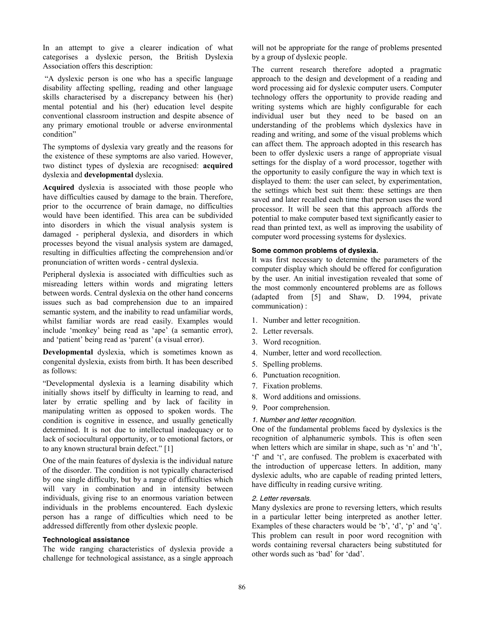In an attempt to give a clearer indication of what categorises a dyslexic person, the British Dyslexia Association offers this description:

 "A dyslexic person is one who has a specific language disability affecting spelling, reading and other language skills characterised by a discrepancy between his (her) mental potential and his (her) education level despite conventional classroom instruction and despite absence of any primary emotional trouble or adverse environmental condition"

The symptoms of dyslexia vary greatly and the reasons for the existence of these symptoms are also varied. However, two distinct types of dyslexia are recognised: **acquired** dyslexia and **developmental** dyslexia.

**Acquired** dyslexia is associated with those people who have difficulties caused by damage to the brain. Therefore, prior to the occurrence of brain damage, no difficulties would have been identified. This area can be subdivided into disorders in which the visual analysis system is damaged - peripheral dyslexia, and disorders in which processes beyond the visual analysis system are damaged, resulting in difficulties affecting the comprehension and/or pronunciation of written words - central dyslexia.

Peripheral dyslexia is associated with difficulties such as misreading letters within words and migrating letters between words. Central dyslexia on the other hand concerns issues such as bad comprehension due to an impaired semantic system, and the inability to read unfamiliar words, whilst familiar words are read easily. Examples would include 'monkey' being read as 'ape' (a semantic error), and 'patient' being read as 'parent' (a visual error).

**Developmental** dyslexia, which is sometimes known as congenital dyslexia, exists from birth. It has been described as follows:

"Developmental dyslexia is a learning disability which initially shows itself by difficulty in learning to read, and later by erratic spelling and by lack of facility in manipulating written as opposed to spoken words. The condition is cognitive in essence, and usually genetically determined. It is not due to intellectual inadequacy or to lack of sociocultural opportunity, or to emotional factors, or to any known structural brain defect." [1]

One of the main features of dyslexia is the individual nature of the disorder. The condition is not typically characterised by one single difficulty, but by a range of difficulties which will vary in combination and in intensity between individuals, giving rise to an enormous variation between individuals in the problems encountered. Each dyslexic person has a range of difficulties which need to be addressed differently from other dyslexic people.

#### **Technological assistance**

The wide ranging characteristics of dyslexia provide a challenge for technological assistance, as a single approach

will not be appropriate for the range of problems presented by a group of dyslexic people.

The current research therefore adopted a pragmatic approach to the design and development of a reading and word processing aid for dyslexic computer users. Computer technology offers the opportunity to provide reading and writing systems which are highly configurable for each individual user but they need to be based on an understanding of the problems which dyslexics have in reading and writing, and some of the visual problems which can affect them. The approach adopted in this research has been to offer dyslexic users a range of appropriate visual settings for the display of a word processor, together with the opportunity to easily configure the way in which text is displayed to them: the user can select, by experimentation, the settings which best suit them: these settings are then saved and later recalled each time that person uses the word processor. It will be seen that this approach affords the potential to make computer based text significantly easier to read than printed text, as well as improving the usability of computer word processing systems for dyslexics.

## **Some common problems of dyslexia.**

It was first necessary to determine the parameters of the computer display which should be offered for configuration by the user. An initial investigation revealed that some of the most commonly encountered problems are as follows (adapted from [5] and Shaw, D. 1994, private communication) :

- 1. Number and letter recognition.
- 2. Letter reversals.
- 3. Word recognition.
- 4. Number, letter and word recollection.
- 5. Spelling problems.
- 6. Punctuation recognition.
- 7. Fixation problems.
- 8. Word additions and omissions.
- 9. Poor comprehension.

#### 1. Number and letter recognition.

One of the fundamental problems faced by dyslexics is the recognition of alphanumeric symbols. This is often seen when letters which are similar in shape, such as 'n' and 'h', 'f' and 't', are confused. The problem is exacerbated with the introduction of uppercase letters. In addition, many dyslexic adults, who are capable of reading printed letters, have difficulty in reading cursive writing.

#### 2. Letter reversals.

Many dyslexics are prone to reversing letters, which results in a particular letter being interpreted as another letter. Examples of these characters would be 'b', 'd', 'p' and 'q'. This problem can result in poor word recognition with words containing reversal characters being substituted for other words such as 'bad' for 'dad'.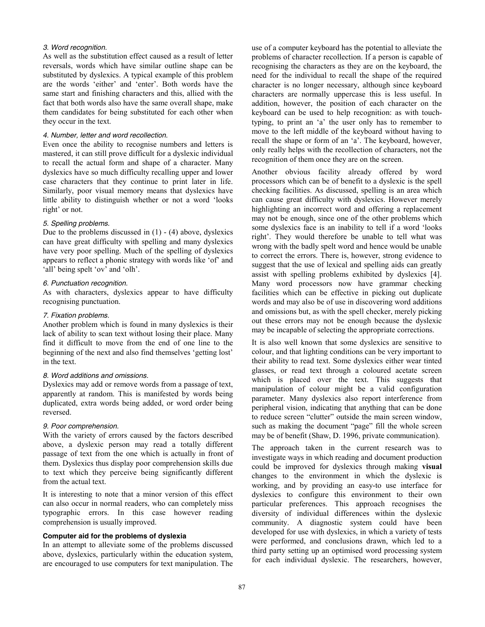# 3. Word recognition.

As well as the substitution effect caused as a result of letter reversals, words which have similar outline shape can be substituted by dyslexics. A typical example of this problem are the words 'either' and 'enter'. Both words have the same start and finishing characters and this, allied with the fact that both words also have the same overall shape, make them candidates for being substituted for each other when they occur in the text.

# 4. Number, letter and word recollection.

Even once the ability to recognise numbers and letters is mastered, it can still prove difficult for a dyslexic individual to recall the actual form and shape of a character. Many dyslexics have so much difficulty recalling upper and lower case characters that they continue to print later in life. Similarly, poor visual memory means that dyslexics have little ability to distinguish whether or not a word 'looks right' or not.

#### 5. Spelling problems.

Due to the problems discussed in  $(1)$  -  $(4)$  above, dyslexics can have great difficulty with spelling and many dyslexics have very poor spelling. Much of the spelling of dyslexics appears to reflect a phonic strategy with words like 'of' and 'all' being spelt 'ov' and 'olh'.

# 6. Punctuation recognition.

As with characters, dyslexics appear to have difficulty recognising punctuation.

#### 7. Fixation problems.

Another problem which is found in many dyslexics is their lack of ability to scan text without losing their place. Many find it difficult to move from the end of one line to the beginning of the next and also find themselves 'getting lost' in the text.

# 8. Word additions and omissions.

Dyslexics may add or remove words from a passage of text, apparently at random. This is manifested by words being duplicated, extra words being added, or word order being reversed.

## 9. Poor comprehension.

With the variety of errors caused by the factors described above, a dyslexic person may read a totally different passage of text from the one which is actually in front of them. Dyslexics thus display poor comprehension skills due to text which they perceive being significantly different from the actual text.

It is interesting to note that a minor version of this effect can also occur in normal readers, who can completely miss typographic errors. In this case however reading comprehension is usually improved.

# **Computer aid for the problems of dyslexia**

In an attempt to alleviate some of the problems discussed above, dyslexics, particularly within the education system, are encouraged to use computers for text manipulation. The

use of a computer keyboard has the potential to alleviate the problems of character recollection. If a person is capable of recognising the characters as they are on the keyboard, the need for the individual to recall the shape of the required character is no longer necessary, although since keyboard characters are normally uppercase this is less useful. In addition, however, the position of each character on the keyboard can be used to help recognition: as with touchtyping, to print an 'a' the user only has to remember to move to the left middle of the keyboard without having to recall the shape or form of an 'a'. The keyboard, however, only really helps with the recollection of characters, not the recognition of them once they are on the screen.

Another obvious facility already offered by word processors which can be of benefit to a dyslexic is the spell checking facilities. As discussed, spelling is an area which can cause great difficulty with dyslexics. However merely highlighting an incorrect word and offering a replacement may not be enough, since one of the other problems which some dyslexics face is an inability to tell if a word 'looks right'. They would therefore be unable to tell what was wrong with the badly spelt word and hence would be unable to correct the errors. There is, however, strong evidence to suggest that the use of lexical and spelling aids can greatly assist with spelling problems exhibited by dyslexics [4]. Many word processors now have grammar checking facilities which can be effective in picking out duplicate words and may also be of use in discovering word additions and omissions but, as with the spell checker, merely picking out these errors may not be enough because the dyslexic may be incapable of selecting the appropriate corrections.

It is also well known that some dyslexics are sensitive to colour, and that lighting conditions can be very important to their ability to read text. Some dyslexics either wear tinted glasses, or read text through a coloured acetate screen which is placed over the text. This suggests that manipulation of colour might be a valid configuration parameter. Many dyslexics also report interference from peripheral vision, indicating that anything that can be done to reduce screen "clutter" outside the main screen window, such as making the document "page" fill the whole screen may be of benefit (Shaw, D. 1996, private communication).

The approach taken in the current research was to investigate ways in which reading and document production could be improved for dyslexics through making **visual** changes to the environment in which the dyslexic is working, and by providing an easy-to use interface for dyslexics to configure this environment to their own particular preferences. This approach recognises the diversity of individual differences within the dyslexic community. A diagnostic system could have been developed for use with dyslexics, in which a variety of tests were performed, and conclusions drawn, which led to a third party setting up an optimised word processing system for each individual dyslexic. The researchers, however,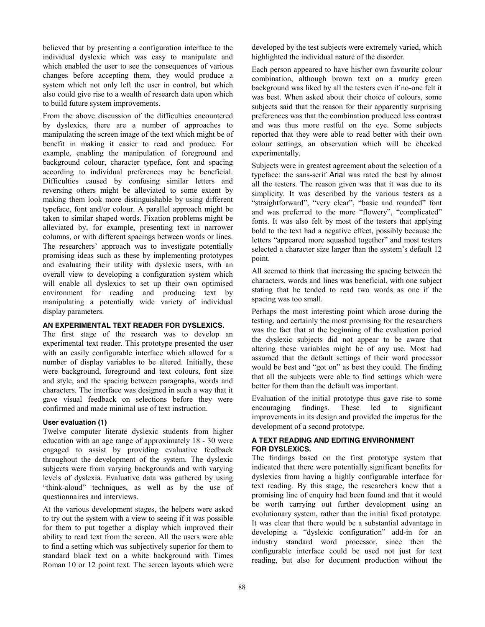believed that by presenting a configuration interface to the individual dyslexic which was easy to manipulate and which enabled the user to see the consequences of various changes before accepting them, they would produce a system which not only left the user in control, but which also could give rise to a wealth of research data upon which to build future system improvements.

From the above discussion of the difficulties encountered by dyslexics, there are a number of approaches to manipulating the screen image of the text which might be of benefit in making it easier to read and produce. For example, enabling the manipulation of foreground and background colour, character typeface, font and spacing according to individual preferences may be beneficial. Difficulties caused by confusing similar letters and reversing others might be alleviated to some extent by making them look more distinguishable by using different typeface, font and/or colour. A parallel approach might be taken to similar shaped words. Fixation problems might be alleviated by, for example, presenting text in narrower columns, or with different spacings between words or lines. The researchers' approach was to investigate potentially promising ideas such as these by implementing prototypes and evaluating their utility with dyslexic users, with an overall view to developing a configuration system which will enable all dyslexics to set up their own optimised environment for reading and producing text by manipulating a potentially wide variety of individual display parameters.

# **AN EXPERIMENTAL TEXT READER FOR DYSLEXICS.**

The first stage of the research was to develop an experimental text reader. This prototype presented the user with an easily configurable interface which allowed for a number of display variables to be altered. Initially, these were background, foreground and text colours, font size and style, and the spacing between paragraphs, words and characters. The interface was designed in such a way that it gave visual feedback on selections before they were confirmed and made minimal use of text instruction.

# **User evaluation (1)**

Twelve computer literate dyslexic students from higher education with an age range of approximately 18 - 30 were engaged to assist by providing evaluative feedback throughout the development of the system. The dyslexic subjects were from varying backgrounds and with varying levels of dyslexia. Evaluative data was gathered by using "think-aloud" techniques, as well as by the use of questionnaires and interviews.

At the various development stages, the helpers were asked to try out the system with a view to seeing if it was possible for them to put together a display which improved their ability to read text from the screen. All the users were able to find a setting which was subjectively superior for them to standard black text on a white background with Times Roman 10 or 12 point text. The screen layouts which were developed by the test subjects were extremely varied, which highlighted the individual nature of the disorder.

Each person appeared to have his/her own favourite colour combination, although brown text on a murky green background was liked by all the testers even if no-one felt it was best. When asked about their choice of colours, some subjects said that the reason for their apparently surprising preferences was that the combination produced less contrast and was thus more restful on the eye. Some subjects reported that they were able to read better with their own colour settings, an observation which will be checked experimentally.

Subjects were in greatest agreement about the selection of a typeface: the sans-serif Arial was rated the best by almost all the testers. The reason given was that it was due to its simplicity. It was described by the various testers as a "straightforward", "very clear", "basic and rounded" font and was preferred to the more "flowery", "complicated" fonts. It was also felt by most of the testers that applying bold to the text had a negative effect, possibly because the letters "appeared more squashed together" and most testers selected a character size larger than the system's default 12 point.

All seemed to think that increasing the spacing between the characters, words and lines was beneficial, with one subject stating that he tended to read two words as one if the spacing was too small.

Perhaps the most interesting point which arose during the testing, and certainly the most promising for the researchers was the fact that at the beginning of the evaluation period the dyslexic subjects did not appear to be aware that altering these variables might be of any use. Most had assumed that the default settings of their word processor would be best and "got on" as best they could. The finding that all the subjects were able to find settings which were better for them than the default was important.

Evaluation of the initial prototype thus gave rise to some encouraging findings. These led to significant improvements in its design and provided the impetus for the development of a second prototype.

# **A TEXT READING AND EDITING ENVIRONMENT FOR DYSLEXICS.**

The findings based on the first prototype system that indicated that there were potentially significant benefits for dyslexics from having a highly configurable interface for text reading. By this stage, the researchers knew that a promising line of enquiry had been found and that it would be worth carrying out further development using an evolutionary system, rather than the initial fixed prototype. It was clear that there would be a substantial advantage in developing a "dyslexic configuration" add-in for an industry standard word processor, since then the configurable interface could be used not just for text reading, but also for document production without the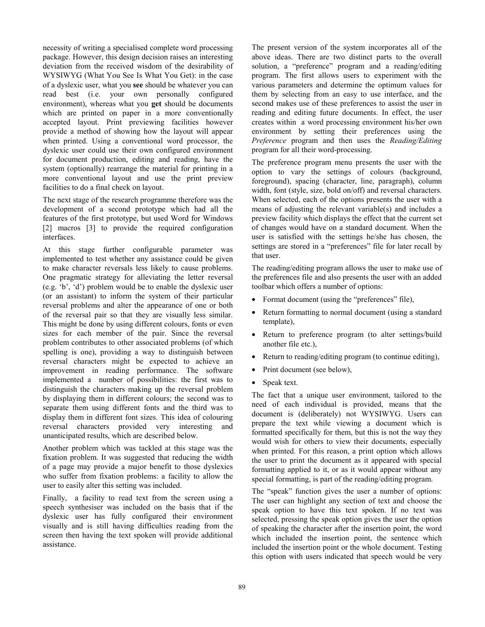necessity of writing a specialised complete word processing package. However, this design decision raises an interesting deviation from the received wisdom of the desirability of WYSIWYG (What You See Is What You Get): in the case of a dyslexic user, what you **see** should be whatever you can read best (i.e. your own personally configured environment), whereas what you **get** should be documents which are printed on paper in a more conventionally accepted layout. Print previewing facilities however provide a method of showing how the layout will appear when printed. Using a conventional word processor, the dyslexic user could use their own configured environment for document production, editing and reading, have the system (optionally) rearrange the material for printing in a more conventional layout and use the print preview facilities to do a final check on layout.

The next stage of the research programme therefore was the development of a second prototype which had all the features of the first prototype, but used Word for Windows [2] macros [3] to provide the required configuration interfaces.

At this stage further configurable parameter was implemented to test whether any assistance could be given to make character reversals less likely to cause problems. One pragmatic strategy for alleviating the letter reversal (e.g. 'b', 'd') problem would be to enable the dyslexic user (or an assistant) to inform the system of their particular reversal problems and alter the appearance of one or both of the reversal pair so that they are visually less similar. This might be done by using different colours, fonts or even sizes for each member of the pair. Since the reversal problem contributes to other associated problems (of which spelling is one), providing a way to distinguish between reversal characters might be expected to achieve an improvement in reading performance. The software implemented a number of possibilities: the first was to distinguish the characters making up the reversal problem by displaying them in different colours; the second was to separate them using different fonts and the third was to display them in different font sizes. This idea of colouring reversal characters provided very interesting and unanticipated results, which are described below.

Another problem which was tackled at this stage was the fixation problem. It was suggested that reducing the width of a page may provide a major benefit to those dyslexics who suffer from fixation problems: a facility to allow the user to easily alter this setting was included.

Finally, a facility to read text from the screen using a speech synthesiser was included on the basis that if the dyslexic user has fully configured their environment visually and is still having difficulties reading from the screen then having the text spoken will provide additional assistance.

The present version of the system incorporates all of the above ideas. There are two distinct parts to the overall solution, a "preference" program and a reading/editing program. The first allows users to experiment with the various parameters and determine the optimum values for them by selecting from an easy to use interface, and the second makes use of these preferences to assist the user in reading and editing future documents. In effect, the user creates within a word processing environment his/her own environment by setting their preferences using the *Preference* program and then uses the *Reading/Editing* program for all their word-processing.

The preference program menu presents the user with the option to vary the settings of colours (background, foreground), spacing (character, line, paragraph), column width, font (style, size, bold on/off) and reversal characters. When selected, each of the options presents the user with a means of adjusting the relevant variable(s) and includes a preview facility which displays the effect that the current set of changes would have on a standard document. When the user is satisfied with the settings he/she has chosen, the settings are stored in a "preferences" file for later recall by that user.

The reading/editing program allows the user to make use of the preferences file and also presents the user with an added toolbar which offers a number of options:

- Format document (using the "preferences" file),
- Return formatting to normal document (using a standard template),
- Return to preference program (to alter settings/build another file etc.),
- Return to reading/editing program (to continue editing),
- Print document (see below),
- Speak text.

The fact that a unique user environment, tailored to the need of each individual is provided, means that the document is (deliberately) not WYSIWYG. Users can prepare the text while viewing a document which is formatted specifically for them, but this is not the way they would wish for others to view their documents, especially when printed. For this reason, a print option which allows the user to print the document as it appeared with special formatting applied to it, or as it would appear without any special formatting, is part of the reading/editing program.

The "speak" function gives the user a number of options: The user can highlight any section of text and choose the speak option to have this text spoken. If no text was selected, pressing the speak option gives the user the option of speaking the character after the insertion point, the word which included the insertion point, the sentence which included the insertion point or the whole document. Testing this option with users indicated that speech would be very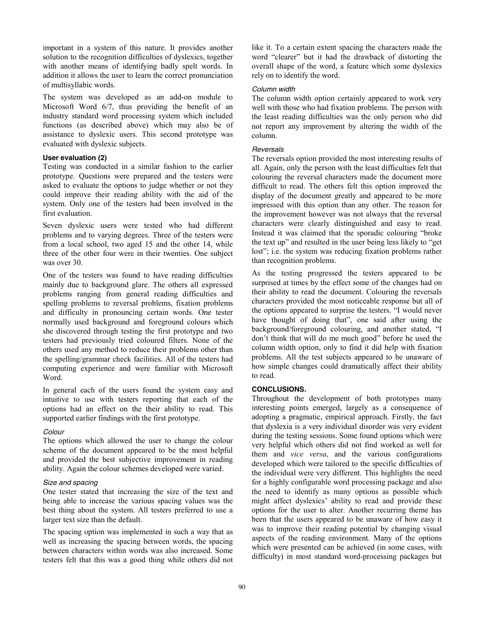important in a system of this nature. It provides another solution to the recognition difficulties of dyslexics, together with another means of identifying badly spelt words. In addition it allows the user to learn the correct pronunciation of multisyllabic words.

The system was developed as an add-on module to Microsoft Word 6/7, thus providing the benefit of an industry standard word processing system which included functions (as described above) which may also be of assistance to dyslexic users. This second prototype was evaluated with dyslexic subjects.

# **User evaluation (2)**

Testing was conducted in a similar fashion to the earlier prototype. Questions were prepared and the testers were asked to evaluate the options to judge whether or not they could improve their reading ability with the aid of the system. Only one of the testers had been involved in the first evaluation.

Seven dyslexic users were tested who had different problems and to varying degrees. Three of the testers were from a local school, two aged 15 and the other 14, while three of the other four were in their twenties. One subject was over 30.

One of the testers was found to have reading difficulties mainly due to background glare. The others all expressed problems ranging from general reading difficulties and spelling problems to reversal problems, fixation problems and difficulty in pronouncing certain words. One tester normally used background and foreground colours which she discovered through testing the first prototype and two testers had previously tried coloured filters. None of the others used any method to reduce their problems other than the spelling/grammar check facilities. All of the testers had computing experience and were familiar with Microsoft Word.

In general each of the users found the system easy and intuitive to use with testers reporting that each of the options had an effect on the their ability to read. This supported earlier findings with the first prototype.

## Colour

The options which allowed the user to change the colour scheme of the document appeared to be the most helpful and provided the best subjective improvement in reading ability. Again the colour schemes developed were varied.

#### Size and spacing

One tester stated that increasing the size of the text and being able to increase the various spacing values was the best thing about the system. All testers preferred to use a larger text size than the default.

The spacing option was implemented in such a way that as well as increasing the spacing between words, the spacing between characters within words was also increased. Some testers felt that this was a good thing while others did not like it. To a certain extent spacing the characters made the word "clearer" but it had the drawback of distorting the overall shape of the word, a feature which some dyslexics rely on to identify the word.

## Column width

The column width option certainly appeared to work very well with those who had fixation problems. The person with the least reading difficulties was the only person who did not report any improvement by altering the width of the column.

## Reversals

The reversals option provided the most interesting results of all. Again, only the person with the least difficulties felt that colouring the reversal characters made the document more difficult to read. The others felt this option improved the display of the document greatly and appeared to be more impressed with this option than any other. The reason for the improvement however was not always that the reversal characters were clearly distinguished and easy to read. Instead it was claimed that the sporadic colouring "broke the text up" and resulted in the user being less likely to "get lost"; i.e. the system was reducing fixation problems rather than recognition problems.

As the testing progressed the testers appeared to be surprised at times by the effect some of the changes had on their ability to read the document. Colouring the reversals characters provided the most noticeable response but all of the options appeared to surprise the testers. "I would never have thought of doing that", one said after using the background/foreground colouring, and another stated, "I don't think that will do me much good" before he used the column width option, only to find it did help with fixation problems. All the test subjects appeared to be unaware of how simple changes could dramatically affect their ability to read.

## **CONCLUSIONS.**

Throughout the development of both prototypes many interesting points emerged, largely as a consequence of adopting a pragmatic, empirical approach. Firstly, the fact that dyslexia is a very individual disorder was very evident during the testing sessions. Some found options which were very helpful which others did not find worked as well for them and *vice versa*, and the various configurations developed which were tailored to the specific difficulties of the individual were very different. This highlights the need for a highly configurable word processing package and also the need to identify as many options as possible which might affect dyslexics' ability to read and provide these options for the user to alter. Another recurring theme has been that the users appeared to be unaware of how easy it was to improve their reading potential by changing visual aspects of the reading environment. Many of the options which were presented can be achieved (in some cases, with difficulty) in most standard word-processing packages but